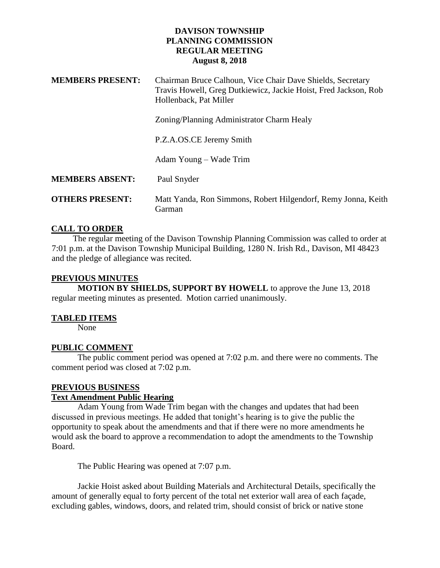| <b>MEMBERS PRESENT:</b> | Chairman Bruce Calhoun, Vice Chair Dave Shields, Secretary<br>Travis Howell, Greg Dutkiewicz, Jackie Hoist, Fred Jackson, Rob<br>Hollenback, Pat Miller |
|-------------------------|---------------------------------------------------------------------------------------------------------------------------------------------------------|
|                         | Zoning/Planning Administrator Charm Healy                                                                                                               |
|                         | P.Z.A.OS.CE Jeremy Smith                                                                                                                                |
|                         | Adam Young – Wade Trim                                                                                                                                  |
| <b>MEMBERS ABSENT:</b>  | Paul Snyder                                                                                                                                             |
| <b>OTHERS PRESENT:</b>  | Matt Yanda, Ron Simmons, Robert Hilgendorf, Remy Jonna, Keith<br>Garman                                                                                 |

### **CALL TO ORDER**

 The regular meeting of the Davison Township Planning Commission was called to order at 7:01 p.m. at the Davison Township Municipal Building, 1280 N. Irish Rd., Davison, MI 48423 and the pledge of allegiance was recited.

### **PREVIOUS MINUTES**

**MOTION BY SHIELDS, SUPPORT BY HOWELL** to approve the June 13, 2018 regular meeting minutes as presented. Motion carried unanimously.

### **TABLED ITEMS**

None

# **PUBLIC COMMENT**

The public comment period was opened at 7:02 p.m. and there were no comments. The comment period was closed at 7:02 p.m.

# **PREVIOUS BUSINESS**

# **Text Amendment Public Hearing**

Adam Young from Wade Trim began with the changes and updates that had been discussed in previous meetings. He added that tonight's hearing is to give the public the opportunity to speak about the amendments and that if there were no more amendments he would ask the board to approve a recommendation to adopt the amendments to the Township Board.

The Public Hearing was opened at 7:07 p.m.

Jackie Hoist asked about Building Materials and Architectural Details, specifically the amount of generally equal to forty percent of the total net exterior wall area of each façade, excluding gables, windows, doors, and related trim, should consist of brick or native stone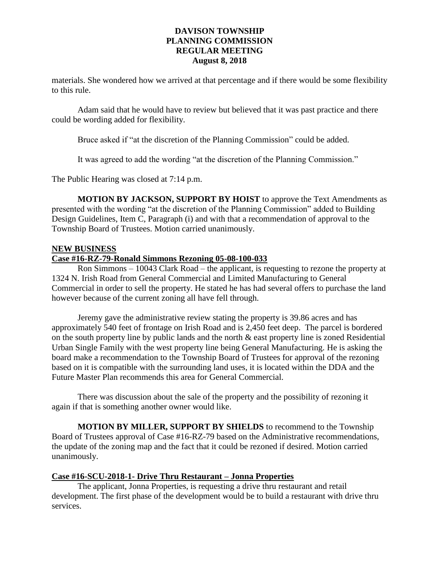materials. She wondered how we arrived at that percentage and if there would be some flexibility to this rule.

Adam said that he would have to review but believed that it was past practice and there could be wording added for flexibility.

Bruce asked if "at the discretion of the Planning Commission" could be added.

It was agreed to add the wording "at the discretion of the Planning Commission."

The Public Hearing was closed at 7:14 p.m.

**MOTION BY JACKSON, SUPPORT BY HOIST** to approve the Text Amendments as presented with the wording "at the discretion of the Planning Commission" added to Building Design Guidelines, Item C, Paragraph (i) and with that a recommendation of approval to the Township Board of Trustees. Motion carried unanimously.

### **NEW BUSINESS**

# **Case #16-RZ-79-Ronald Simmons Rezoning 05-08-100-033**

Ron Simmons – 10043 Clark Road – the applicant, is requesting to rezone the property at 1324 N. Irish Road from General Commercial and Limited Manufacturing to General Commercial in order to sell the property. He stated he has had several offers to purchase the land however because of the current zoning all have fell through.

Jeremy gave the administrative review stating the property is 39.86 acres and has approximately 540 feet of frontage on Irish Road and is 2,450 feet deep. The parcel is bordered on the south property line by public lands and the north & east property line is zoned Residential Urban Single Family with the west property line being General Manufacturing. He is asking the board make a recommendation to the Township Board of Trustees for approval of the rezoning based on it is compatible with the surrounding land uses, it is located within the DDA and the Future Master Plan recommends this area for General Commercial.

There was discussion about the sale of the property and the possibility of rezoning it again if that is something another owner would like.

**MOTION BY MILLER, SUPPORT BY SHIELDS** to recommend to the Township Board of Trustees approval of Case #16-RZ-79 based on the Administrative recommendations, the update of the zoning map and the fact that it could be rezoned if desired. Motion carried unanimously.

### **Case #16-SCU-2018-1- Drive Thru Restaurant – Jonna Properties**

The applicant, Jonna Properties, is requesting a drive thru restaurant and retail development. The first phase of the development would be to build a restaurant with drive thru services.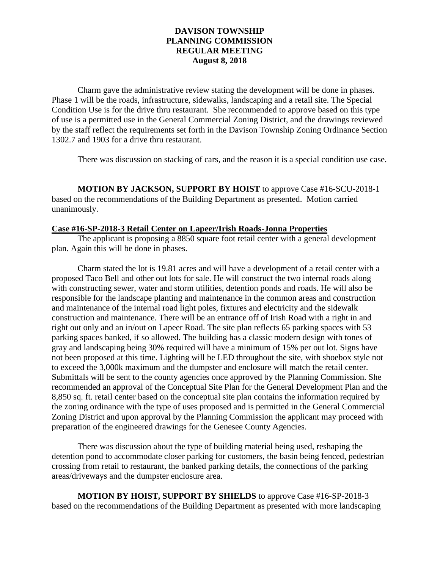Charm gave the administrative review stating the development will be done in phases. Phase 1 will be the roads, infrastructure, sidewalks, landscaping and a retail site. The Special Condition Use is for the drive thru restaurant. She recommended to approve based on this type of use is a permitted use in the General Commercial Zoning District, and the drawings reviewed by the staff reflect the requirements set forth in the Davison Township Zoning Ordinance Section 1302.7 and 1903 for a drive thru restaurant.

There was discussion on stacking of cars, and the reason it is a special condition use case.

**MOTION BY JACKSON, SUPPORT BY HOIST** to approve Case #16-SCU-2018-1 based on the recommendations of the Building Department as presented. Motion carried unanimously.

#### **Case #16-SP-2018-3 Retail Center on Lapeer/Irish Roads-Jonna Properties**

The applicant is proposing a 8850 square foot retail center with a general development plan. Again this will be done in phases.

Charm stated the lot is 19.81 acres and will have a development of a retail center with a proposed Taco Bell and other out lots for sale. He will construct the two internal roads along with constructing sewer, water and storm utilities, detention ponds and roads. He will also be responsible for the landscape planting and maintenance in the common areas and construction and maintenance of the internal road light poles, fixtures and electricity and the sidewalk construction and maintenance. There will be an entrance off of Irish Road with a right in and right out only and an in/out on Lapeer Road. The site plan reflects 65 parking spaces with 53 parking spaces banked, if so allowed. The building has a classic modern design with tones of gray and landscaping being 30% required will have a minimum of 15% per out lot. Signs have not been proposed at this time. Lighting will be LED throughout the site, with shoebox style not to exceed the 3,000k maximum and the dumpster and enclosure will match the retail center. Submittals will be sent to the county agencies once approved by the Planning Commission. She recommended an approval of the Conceptual Site Plan for the General Development Plan and the 8,850 sq. ft. retail center based on the conceptual site plan contains the information required by the zoning ordinance with the type of uses proposed and is permitted in the General Commercial Zoning District and upon approval by the Planning Commission the applicant may proceed with preparation of the engineered drawings for the Genesee County Agencies.

There was discussion about the type of building material being used, reshaping the detention pond to accommodate closer parking for customers, the basin being fenced, pedestrian crossing from retail to restaurant, the banked parking details, the connections of the parking areas/driveways and the dumpster enclosure area.

**MOTION BY HOIST, SUPPORT BY SHIELDS** to approve Case #16-SP-2018-3 based on the recommendations of the Building Department as presented with more landscaping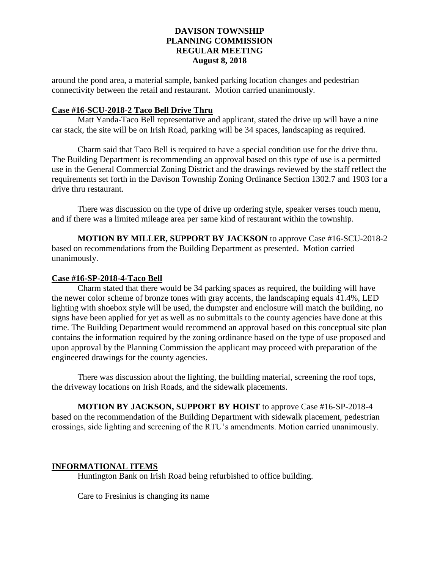around the pond area, a material sample, banked parking location changes and pedestrian connectivity between the retail and restaurant. Motion carried unanimously.

### **Case #16-SCU-2018-2 Taco Bell Drive Thru**

Matt Yanda-Taco Bell representative and applicant, stated the drive up will have a nine car stack, the site will be on Irish Road, parking will be 34 spaces, landscaping as required.

Charm said that Taco Bell is required to have a special condition use for the drive thru. The Building Department is recommending an approval based on this type of use is a permitted use in the General Commercial Zoning District and the drawings reviewed by the staff reflect the requirements set forth in the Davison Township Zoning Ordinance Section 1302.7 and 1903 for a drive thru restaurant.

There was discussion on the type of drive up ordering style, speaker verses touch menu, and if there was a limited mileage area per same kind of restaurant within the township.

**MOTION BY MILLER, SUPPORT BY JACKSON** to approve Case #16-SCU-2018-2 based on recommendations from the Building Department as presented. Motion carried unanimously.

#### **Case #16-SP-2018-4-Taco Bell**

Charm stated that there would be 34 parking spaces as required, the building will have the newer color scheme of bronze tones with gray accents, the landscaping equals 41.4%, LED lighting with shoebox style will be used, the dumpster and enclosure will match the building, no signs have been applied for yet as well as no submittals to the county agencies have done at this time. The Building Department would recommend an approval based on this conceptual site plan contains the information required by the zoning ordinance based on the type of use proposed and upon approval by the Planning Commission the applicant may proceed with preparation of the engineered drawings for the county agencies.

There was discussion about the lighting, the building material, screening the roof tops, the driveway locations on Irish Roads, and the sidewalk placements.

**MOTION BY JACKSON, SUPPORT BY HOIST** to approve Case #16-SP-2018-4 based on the recommendation of the Building Department with sidewalk placement, pedestrian crossings, side lighting and screening of the RTU's amendments. Motion carried unanimously.

### **INFORMATIONAL ITEMS**

Huntington Bank on Irish Road being refurbished to office building.

Care to Fresinius is changing its name